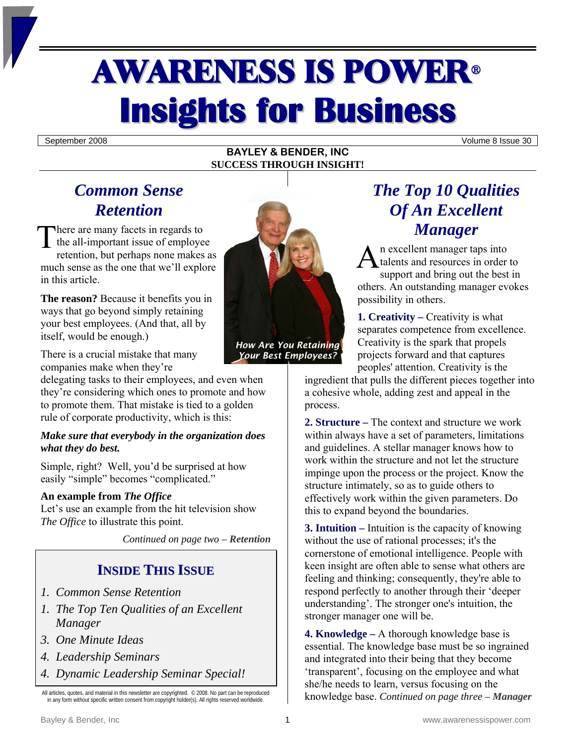# **AWARENESS IS POWER® Insights for Business**

September 2008 Volume 8 Issue 30

#### **BAYLEY & BENDER, INC SUCCESS THROUGH INSIGHT!**

# *Common Sense Retention*

here are many facets in regards to the all-important issue of employee retention, but perhaps none makes as much sense as the one that we'll explore in this article. There are many facets in regards to<br>the all-important issue of employee<br>retention, but perhaps none makes as<br>much sense as the one that we'll explore

**The reason?** Because it benefits you in ways that go beyond simply retaining your best employees. (And that, all by itself, would be enough.)

There is a crucial mistake that many companies make when they're

delegating tasks to their employees, and even when they're considering which ones to promote and how to promote them. That mistake is tied to a golden rule of corporate productivity, which is this:

#### *Make sure that everybody in the organization does what they do best.*

Simple, right? Well, you'd be surprised at how easily "simple" becomes "complicated."

#### **An example from** *The Office*

Let's use an example from the hit television show *The Office* to illustrate this point.

*Continued on page two – Retention* 

## **INSIDE THIS ISSUE**

- *1. Common Sense Retention*
- *1. The Top Ten Qualities of an Excellent Manager*
- *3. One Minute Ideas*
- *4. Leadership Seminars*
- *4. Dynamic Leadership Seminar Special!*

All articles, quotes, and material in this newsletter are copyrighted. © 2008. No part can be reproduced in any form without specific written consent from copyright holder(s). All rights reserved worldwide.



*Your Best Employees?* 

# *The Top 10 Qualities Of An Excellent Manager*

n excellent manager taps into talents and resources in order to support and bring out the best in others. An outstanding manager evokes possibility in others.

**1. Creativity – Creativity is what** separates competence from excellence. Creativity is the spark that propels projects forward and that captures peoples' attention. Creativity is the

ingredient that pulls the different pieces together into a cohesive whole, adding zest and appeal in the process.

**2. Structure –** The context and structure we work within always have a set of parameters, limitations and guidelines. A stellar manager knows how to work within the structure and not let the structure impinge upon the process or the project. Know the structure intimately, so as to guide others to effectively work within the given parameters. Do this to expand beyond the boundaries.

**3. Intuition –** Intuition is the capacity of knowing without the use of rational processes; it's the cornerstone of emotional intelligence. People with keen insight are often able to sense what others are feeling and thinking; consequently, they're able to respond perfectly to another through their 'deeper understanding'. The stronger one's intuition, the stronger manager one will be.

**4. Knowledge –** A thorough knowledge base is essential. The knowledge base must be so ingrained and integrated into their being that they become 'transparent', focusing on the employee and what she/he needs to learn, versus focusing on the knowledge base. *Continued on page three – Manager*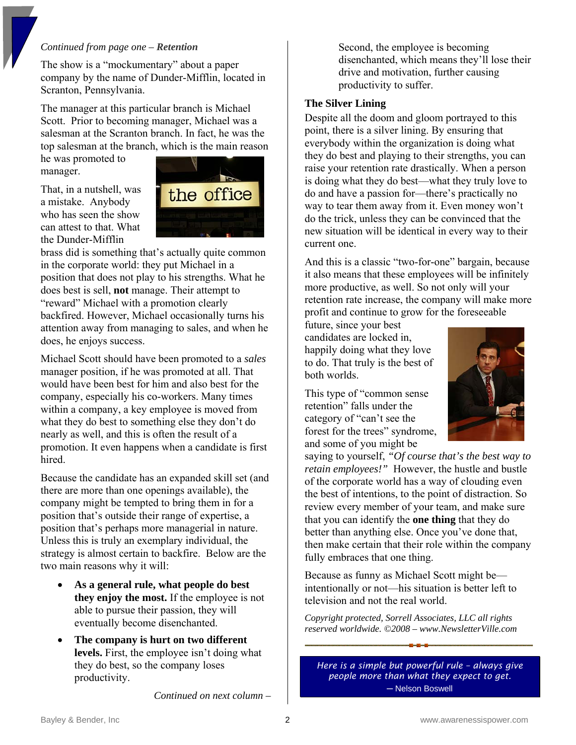#### *Continued from page one – Retention*

The show is a "mockumentary" about a paper company by the name of Dunder-Mifflin, located in Scranton, Pennsylvania.

The manager at this particular branch is Michael Scott. Prior to becoming manager, Michael was a salesman at the Scranton branch. In fact, he was the top salesman at the branch, which is the main reason

he was promoted to manager.

That, in a nutshell, was a mistake. Anybody who has seen the show can attest to that. What the Dunder-Mifflin



brass did is something that's actually quite common in the corporate world: they put Michael in a position that does not play to his strengths. What he does best is sell, **not** manage. Their attempt to "reward" Michael with a promotion clearly backfired. However, Michael occasionally turns his attention away from managing to sales, and when he does, he enjoys success.

Michael Scott should have been promoted to a *sales* manager position, if he was promoted at all. That would have been best for him and also best for the company, especially his co-workers. Many times within a company, a key employee is moved from what they do best to something else they don't do nearly as well, and this is often the result of a promotion. It even happens when a candidate is first hired.

Because the candidate has an expanded skill set (and there are more than one openings available), the company might be tempted to bring them in for a position that's outside their range of expertise, a position that's perhaps more managerial in nature. Unless this is truly an exemplary individual, the strategy is almost certain to backfire. Below are the two main reasons why it will:

- **As a general rule, what people do best they enjoy the most.** If the employee is not able to pursue their passion, they will eventually become disenchanted.
- **The company is hurt on two different levels.** First, the employee isn't doing what they do best, so the company loses productivity.

*Continued on next column –* 

Second, the employee is becoming disenchanted, which means they'll lose their drive and motivation, further causing productivity to suffer.

#### **The Silver Lining**

Despite all the doom and gloom portrayed to this point, there is a silver lining. By ensuring that everybody within the organization is doing what they do best and playing to their strengths, you can raise your retention rate drastically. When a person is doing what they do best—what they truly love to do and have a passion for—there's practically no way to tear them away from it. Even money won't do the trick, unless they can be convinced that the new situation will be identical in every way to their current one.

And this is a classic "two-for-one" bargain, because it also means that these employees will be infinitely more productive, as well. So not only will your retention rate increase, the company will make more profit and continue to grow for the foreseeable

future, since your best candidates are locked in, happily doing what they love to do. That truly is the best of both worlds.

This type of "common sense retention" falls under the category of "can't see the forest for the trees" syndrome, and some of you might be



saying to yourself, *"Of course that's the best way to retain employees!"* However, the hustle and bustle of the corporate world has a way of clouding even the best of intentions, to the point of distraction. So review every member of your team, and make sure that you can identify the **one thing** that they do better than anything else. Once you've done that, then make certain that their role within the company fully embraces that one thing.

Because as funny as Michael Scott might be intentionally or not—his situation is better left to television and not the real world.

*Copyright protected, Sorrell Associates, LLC all rights reserved worldwide. ©2008 – www.NewsletterVille.com* 

*Here is a simple but powerful rule – always give people more than what they expect to get.* ─ Nelson Boswell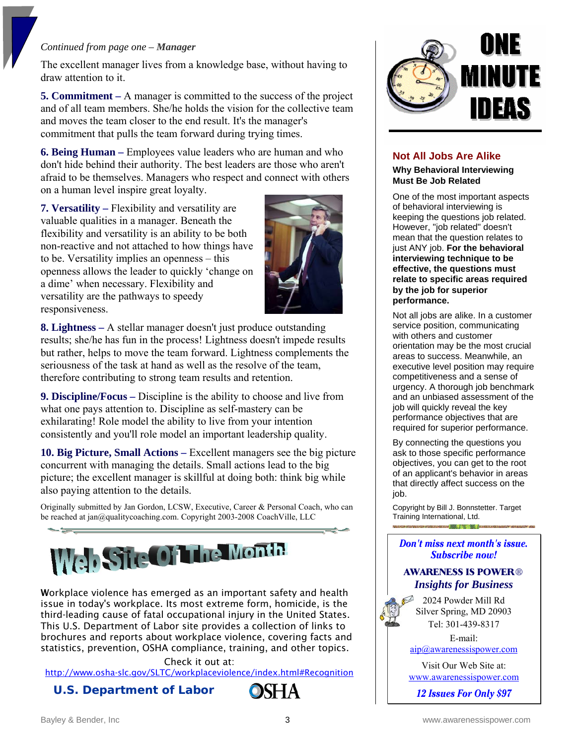#### *Continued from page one – Manager*

The excellent manager lives from a knowledge base, without having to draw attention to it.

**5. Commitment –** A manager is committed to the success of the project and of all team members. She/he holds the vision for the collective team and moves the team closer to the end result. It's the manager's commitment that pulls the team forward during trying times.

**6. Being Human –** Employees value leaders who are human and who don't hide behind their authority. The best leaders are those who aren't afraid to be themselves. Managers who respect and connect with others on a human level inspire great loyalty.

**7. Versatility –** Flexibility and versatility are valuable qualities in a manager. Beneath the flexibility and versatility is an ability to be both non-reactive and not attached to how things have to be. Versatility implies an openness – this openness allows the leader to quickly 'change on a dime' when necessary. Flexibility and versatility are the pathways to speedy responsiveness.



**8. Lightness –** A stellar manager doesn't just produce outstanding results; she/he has fun in the process! Lightness doesn't impede results but rather, helps to move the team forward. Lightness complements the seriousness of the task at hand as well as the resolve of the team, therefore contributing to strong team results and retention.

**9. Discipline/Focus –** Discipline is the ability to choose and live from what one pays attention to. Discipline as self-mastery can be exhilarating! Role model the ability to live from your intention consistently and you'll role model an important leadership quality.

**10. Big Picture, Small Actions –** Excellent managers see the big picture concurrent with managing the details. Small actions lead to the big picture; the excellent manager is skillful at doing both: think big while also paying attention to the details.

Originally submitted by Jan Gordon, LCSW, Executive, Career & Personal Coach, who can be reached at jan@qualitycoaching.com. Copyright 2003-2008 CoachVille, LLC



Workplace violence has emerged as an important safety and health issue in today's workplace. Its most extreme form, homicide, is the third-leading cause of fatal occupational injury in the United States. This U.S. Department of Labor site provides a collection of links to brochures and reports about workplace violence, covering facts and statistics, prevention, OSHA compliance, training, and other topics.

Check it out at: http://www.osha-slc.gov/SLTC/workplaceviolence/index.html#Recognition

### **U.S. Department of Labor**





#### **Not All Jobs Are Alike**

**Why Behavioral Interviewing Must Be Job Related**

One of the most important aspects of behavioral interviewing is keeping the questions job related. However, "job related" doesn't mean that the question relates to just ANY job. **For the behavioral interviewing technique to be effective, the questions must relate to specific areas required by the job for superior performance.** 

Not all jobs are alike. In a customer service position, communicating with others and customer orientation may be the most crucial areas to success. Meanwhile, an executive level position may require competitiveness and a sense of urgency. A thorough job benchmark and an unbiased assessment of the job will quickly reveal the key performance objectives that are required for superior performance.

By connecting the questions you ask to those specific performance objectives, you can get to the root of an applicant's behavior in areas that directly affect success on the job.

Copyright by Bill J. Bonnstetter. Target Training International, Ltd. and the first state of the

#### Don't miss next month's issue. **Subscribe now!**

#### **AWARENESS IS POWER**® *Insights for Business*

2024 Powder Mill Rd Silver Spring, MD 20903 Tel: 301-439-8317

E-mail:

[aip@awarenessispower.com](mailto:aip@awarenessispower.com)

Visit Our Web Site at: [www.awarenessispower.com](http://www.awarenessispower.com/)

12 Issues For Only \$97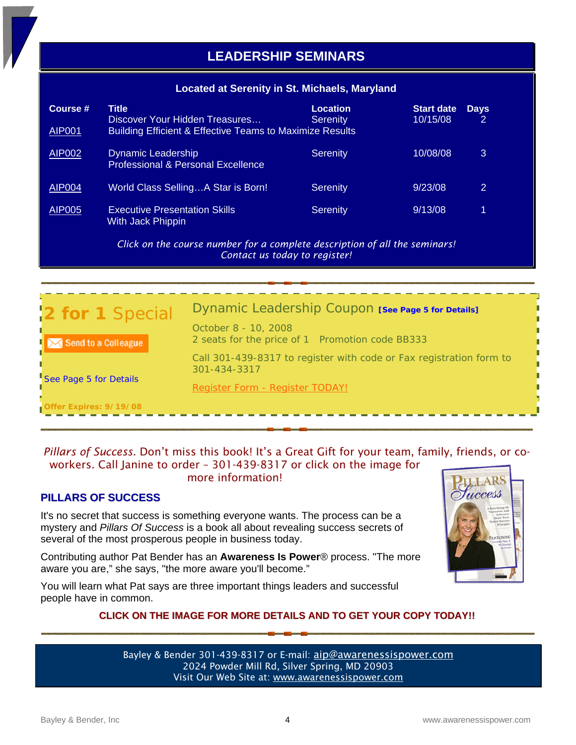#### **Located at Serenity in St. Michaels, Maryland**

| Course #<br><b>AIP001</b> | Title<br>Discover Your Hidden Treasures<br><b>Building Efficient &amp; Effective Teams to Maximize Results</b> | <b>Location</b><br><b>Serenity</b> | <b>Start date</b><br>10/15/08 | <b>Days</b><br>2 |
|---------------------------|----------------------------------------------------------------------------------------------------------------|------------------------------------|-------------------------------|------------------|
| <b>AIP002</b>             | <b>Dynamic Leadership</b><br><b>Professional &amp; Personal Excellence</b>                                     | Serenity                           | 10/08/08                      | 3                |
| <b>AIP004</b>             | World Class SellingA Star is Born!                                                                             | Serenity                           | 9/23/08                       | 2                |
| AIP005                    | <b>Executive Presentation Skills</b><br>With Jack Phippin                                                      | <b>Serenity</b>                    | 9/13/08                       | 1                |

*Click on the course number for a complete description of all the seminars! Contact us today to register!*

| 2 for 1 Special            | Dynamic Leadership Coupon [See Page 5 for Details]                                  |
|----------------------------|-------------------------------------------------------------------------------------|
| $\sim$ Send to a Colleague | October 8 - 10, 2008<br>2 seats for the price of 1 Promotion code BB333             |
|                            | Call 301-439-8317 to register with code or Fax registration form to<br>301-434-3317 |
| See Page 5 for Details     | Register Form - Register TODAY!                                                     |
| Offer Expires: 9/19/08     |                                                                                     |

### *Pillars of Success.* Don't miss this book! It's a Great Gift for your team, family, friends, or coworkers. Call Janine to order – 301-439-8317 or click on the image for

#### more information!

### **PILLARS OF SUCCESS**

It's no secret that success is something everyone wants. The process can be a mystery and *Pillars Of Success* is a book all about revealing success secrets of several of the most prosperous people in business today.

Contributing author Pat Bender has an **Awareness Is Power**® process. "The more aware you are," she says, "the more aware you'll become."

You will learn what Pat says are three important things leaders and successful people have in common.

#### **CLICK ON THE IMAGE FOR MORE DETAILS AND TO GET YOUR COPY TODAY!!**

Bayley & Bender 301-439-8317 or E-mail: [aip@awarenessispower.com](mailto:aip@awarenessispower.com) 2024 Powder Mill Rd, Silver Spring, MD 20903 Visit Our Web Site at: [www.awarenessispower.com](http://www.awarenessispower.com/)